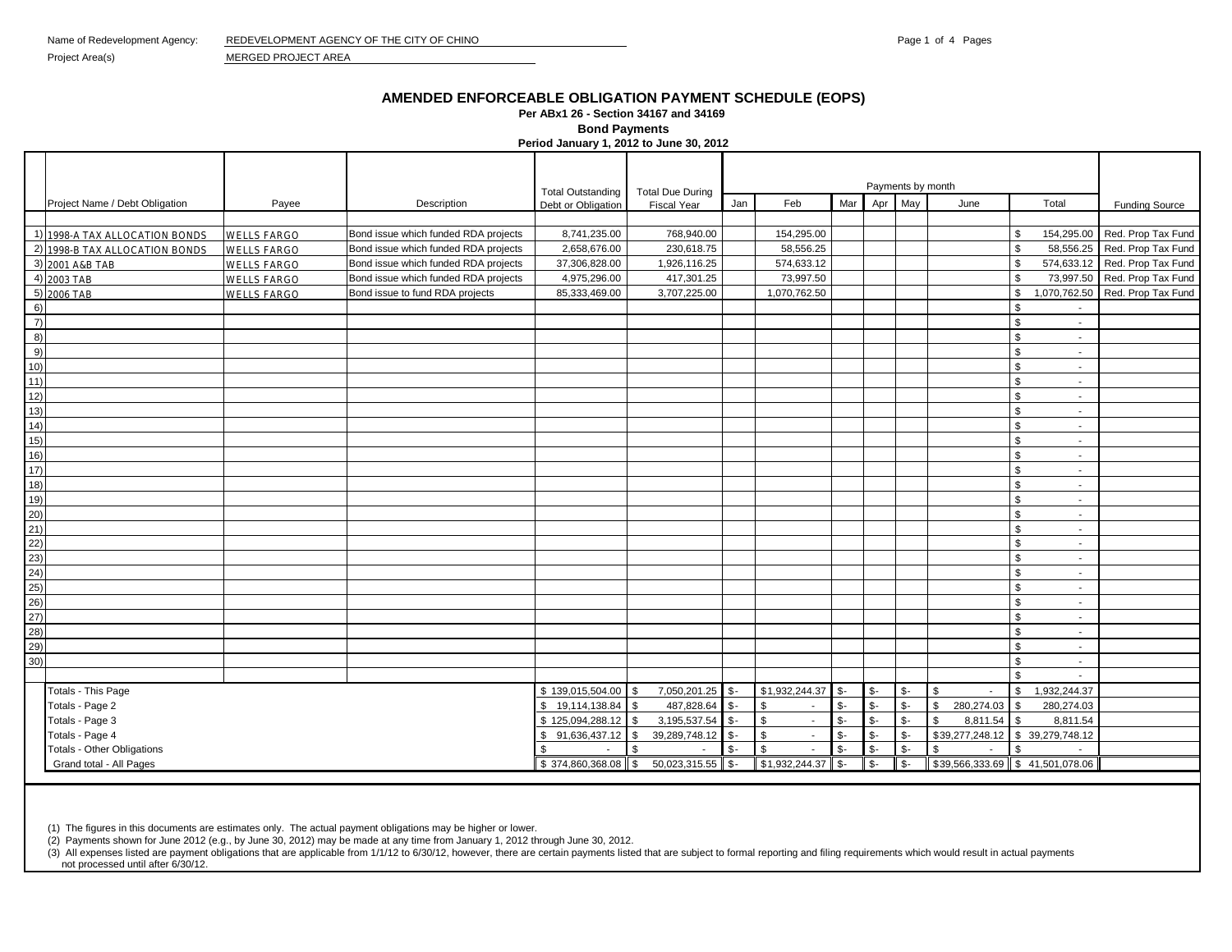Project Area(s) MERGED PROJECT AREA

## **AMENDED ENFORCEABLE OBLIGATION PAYMENT SCHEDULE (EOPS)**

**Per ABx1 26 - Section 34167 and 34169** 

**Bond Payments**

**Period January 1, 2012 to June 30, 2012**

|                |                                |                    |                                      | <b>Total Outstanding</b> | <b>Total Due During</b> |                 | Payments by month      |      |                |                |                      |                                            |                               |
|----------------|--------------------------------|--------------------|--------------------------------------|--------------------------|-------------------------|-----------------|------------------------|------|----------------|----------------|----------------------|--------------------------------------------|-------------------------------|
|                | Project Name / Debt Obligation | Payee              | Description                          | Debt or Obligation       | <b>Fiscal Year</b>      | Jan             | Feb                    | Mar  | Apr            | May            | June                 | Total                                      | <b>Funding Source</b>         |
|                |                                |                    |                                      |                          |                         |                 |                        |      |                |                |                      |                                            |                               |
|                | 1) 1998-A TAX ALLOCATION BONDS | <b>WELLS FARGO</b> | Bond issue which funded RDA projects | 8,741,235.00             | 768,940.00              |                 | 154,295.00             |      |                |                |                      | 154,295.00<br>\$                           | Red. Prop Tax Fund            |
|                | 2) 1998-B TAX ALLOCATION BONDS | <b>WELLS FARGO</b> | Bond issue which funded RDA projects | 2,658,676.00             | 230,618.75              |                 | 58,556.25              |      |                |                |                      | 58,556.25<br>\$                            | Red. Prop Tax Fund            |
|                | 3) 2001 A&B TAB                | <b>WELLS FARGO</b> | Bond issue which funded RDA projects | 37,306,828.00            | 1,926,116.25            |                 | 574,633.12             |      |                |                |                      | $\mathbf{s}$                               | 574,633.12 Red. Prop Tax Fund |
|                | 4) 2003 TAB                    | <b>WELLS FARGO</b> | Bond issue which funded RDA projects | 4,975,296.00             | 417,301.25              |                 | 73,997.50              |      |                |                |                      | \$                                         | 73,997.50 Red. Prop Tax Fund  |
|                | 5) 2006 TAB                    | <b>WELLS FARGO</b> | Bond issue to fund RDA projects      | 85,333,469.00            | 3,707,225.00            |                 | 1,070,762.50           |      |                |                |                      | \$<br>1,070,762.50                         | Red. Prop Tax Fund            |
| 6)             |                                |                    |                                      |                          |                         |                 |                        |      |                |                |                      | \$                                         |                               |
| $\overline{7}$ |                                |                    |                                      |                          |                         |                 |                        |      |                |                |                      | \$<br>$\sim$                               |                               |
| 8)             |                                |                    |                                      |                          |                         |                 |                        |      |                |                |                      | $\mathfrak{L}$<br>$\sim$                   |                               |
| 9)             |                                |                    |                                      |                          |                         |                 |                        |      |                |                |                      | . ድ<br>$\sim$                              |                               |
| 10)            |                                |                    |                                      |                          |                         |                 |                        |      |                |                |                      | $\mathfrak{L}$<br>$\sim$                   |                               |
| 11)            |                                |                    |                                      |                          |                         |                 |                        |      |                |                |                      | $\mathfrak{L}$<br>$\sim$                   |                               |
| 12)            |                                |                    |                                      |                          |                         |                 |                        |      |                |                |                      | $\mathfrak{L}$<br>$\sim$                   |                               |
| 13)            |                                |                    |                                      |                          |                         |                 |                        |      |                |                |                      | $\sim$                                     |                               |
| 14)            |                                |                    |                                      |                          |                         |                 |                        |      |                |                |                      | $\sim$                                     |                               |
| 15)            |                                |                    |                                      |                          |                         |                 |                        |      |                |                |                      | $\sim$                                     |                               |
| 16)            |                                |                    |                                      |                          |                         |                 |                        |      |                |                |                      | \$<br>$\sim$                               |                               |
| 17)            |                                |                    |                                      |                          |                         |                 |                        |      |                |                |                      | $\sim$                                     |                               |
| 18)            |                                |                    |                                      |                          |                         |                 |                        |      |                |                |                      | $\sim$                                     |                               |
| 19)            |                                |                    |                                      |                          |                         |                 |                        |      |                |                |                      | $\sim$                                     |                               |
| 20)            |                                |                    |                                      |                          |                         |                 |                        |      |                |                |                      | ፍ                                          |                               |
| 21)            |                                |                    |                                      |                          |                         |                 |                        |      |                |                |                      | $\mathbf{\hat{z}}$<br>$\sim$               |                               |
| 22)            |                                |                    |                                      |                          |                         |                 |                        |      |                |                |                      | $\sim$                                     |                               |
| 23)            |                                |                    |                                      |                          |                         |                 |                        |      |                |                |                      | $\mathbf{\hat{z}}$<br>$\sim$               |                               |
| (24)           |                                |                    |                                      |                          |                         |                 |                        |      |                |                |                      | $\sim$                                     |                               |
| 25)            |                                |                    |                                      |                          |                         |                 |                        |      |                |                |                      | -\$<br>$\sim$                              |                               |
| 26)            |                                |                    |                                      |                          |                         |                 |                        |      |                |                |                      | \$<br>$\sim$                               |                               |
| 27)            |                                |                    |                                      |                          |                         |                 |                        |      |                |                |                      | \$<br>$\sim$                               |                               |
| 28)            |                                |                    |                                      |                          |                         |                 |                        |      |                |                |                      | £.<br>$\sim$                               |                               |
| 29)            |                                |                    |                                      |                          |                         |                 |                        |      |                |                |                      | $\mathfrak{R}$<br>$\overline{\phantom{a}}$ |                               |
| 30)            |                                |                    |                                      |                          |                         |                 |                        |      |                |                |                      | $\mathbf{s}$<br>$\sim$                     |                               |
|                |                                |                    |                                      |                          |                         |                 |                        |      |                |                |                      | $\mathbf{s}$                               |                               |
|                | Totals - This Page             |                    |                                      | \$139,015,504.00         | 7,050,201.25            | $\mathcal{S}$ - | \$1,932,244.37         | \$-  | \$-            | \$-            | \$<br>$\sim$         | \$<br>1,932,244.37                         |                               |
|                | Totals - Page 2                |                    |                                      | 19,114,138.84<br>\$      | 487,828.64              | $\mathcal{S}$ - | \$<br>$\sim$           | \$-  | \$-            | \$-            | \$<br>280,274.03     | 280,274.03<br>\$                           |                               |
|                | Totals - Page 3                |                    |                                      | \$125,094,288.12         | 3,195,537.54            | $\mathcal{S}$ - | \$<br>$\sim$           | \$-  | $\mathsf{s}$ - | $S-$           | \$<br>8,811.54       | \$<br>8,811.54                             |                               |
|                | Totals - Page 4                |                    |                                      | 91,636,437.12<br>\$.     | 39, 289, 748. 12        | $S -$           | $$\mathbb{S}$$         | \$-  | $S -$          | $\mathsf{\$}$  | \$39,277,248.12      | \$39,279,748.12                            |                               |
|                | Totals - Other Obligations     |                    |                                      | \$                       | \$.<br>$\mathbf{r}$     | $$ -$           | $\mathbb{S}$<br>$\sim$ | $S-$ | $\mathbb{S}$ - | $\mathbb{S}$ - | \$<br>$\blacksquare$ | \$<br>$\overline{\phantom{a}}$             |                               |
|                | Grand total - All Pages        |                    |                                      | \$374,860,368.08         | 50,023,315.55<br>\$     | $\sqrt{s}$      | \$1,932,244.37         | \$-  | $\mathsf{s}$   | $$-$           | \$39,566,333.69      | \$41,501,078.06                            |                               |

(1) The figures in this documents are estimates only. The actual payment obligations may be higher or lower.

(2) Payments shown for June 2012 (e.g., by June 30, 2012) may be made at any time from January 1, 2012 through June 30, 2012.

(3) All expenses listed are payment obligations that are applicable from 1/1/12 to 6/30/12, however, there are certain payments listed that are subject to formal reporting and filing requirements which would result in actu

not processed until after 6/30/12.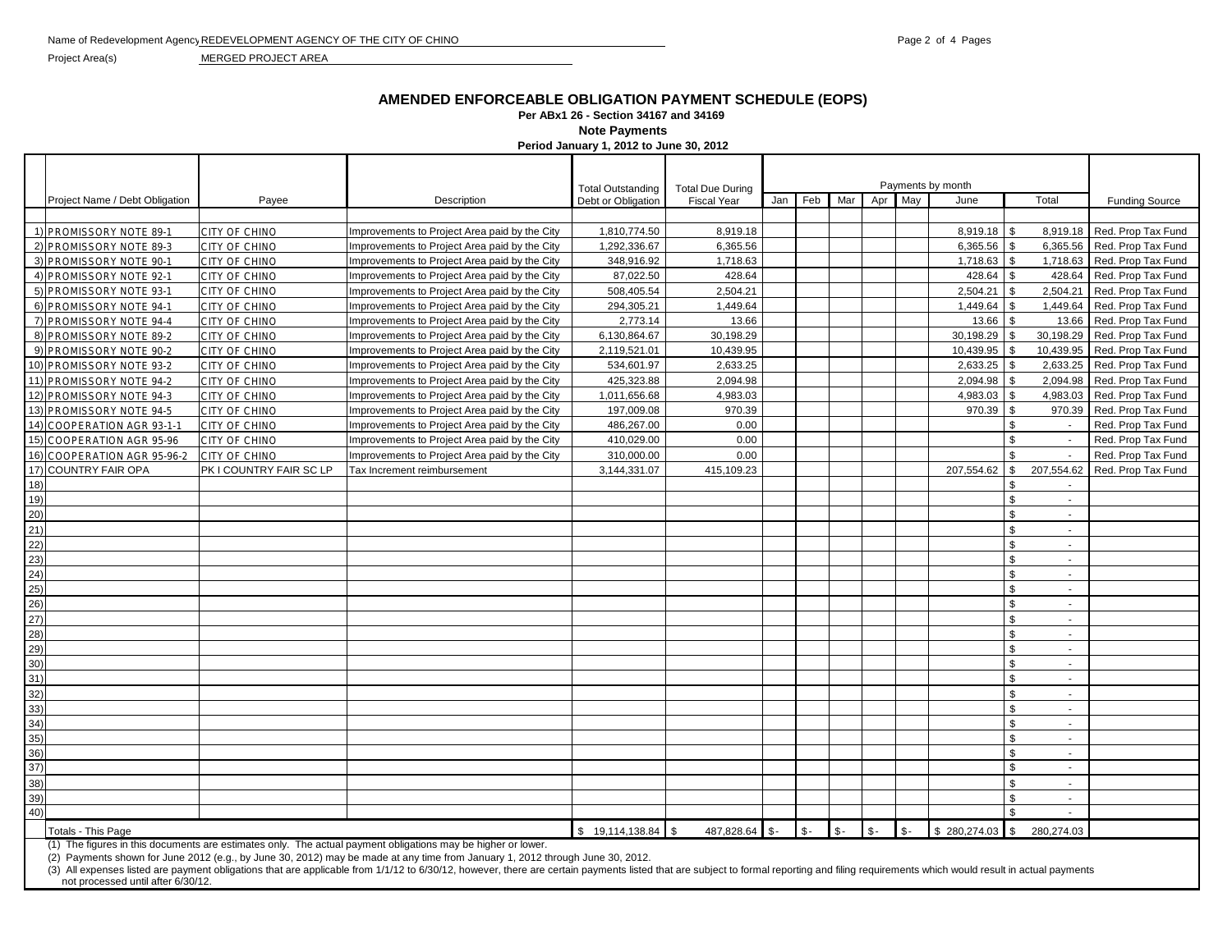Project Area(s) MERGED PROJECT AREA

## **AMENDED ENFORCEABLE OBLIGATION PAYMENT SCHEDULE (EOPS)**

**Per ABx1 26 - Section 34167 and 34169** 

**Note Payments**

**Period January 1, 2012 to June 30, 2012**

|      |                                                                                                              |                         |                                               |                                                |                                               |         |                | Payments by month |                |              |                |                          |                             |
|------|--------------------------------------------------------------------------------------------------------------|-------------------------|-----------------------------------------------|------------------------------------------------|-----------------------------------------------|---------|----------------|-------------------|----------------|--------------|----------------|--------------------------|-----------------------------|
|      | Project Name / Debt Obligation                                                                               | Payee                   | Description                                   | <b>Total Outstanding</b><br>Debt or Obligation | <b>Total Due During</b><br><b>Fiscal Year</b> | Jan Feb | Mar            | Apr               | May            | June         |                | Total                    | <b>Funding Source</b>       |
|      |                                                                                                              |                         |                                               |                                                |                                               |         |                |                   |                |              |                |                          |                             |
|      | 1) PROMISSORY NOTE 89-1                                                                                      | CITY OF CHINO           | Improvements to Project Area paid by the City | 1,810,774.50                                   | 8,919.18                                      |         |                |                   |                | 8,919.18     | -\$            |                          | 8,919.18 Red. Prop Tax Fund |
|      | 2) PROMISSORY NOTE 89-3                                                                                      | CITY OF CHINO           | Improvements to Project Area paid by the City | 1,292,336.67                                   | 6,365.56                                      |         |                |                   |                | 6,365.56     |                | 6,365.56                 | Red. Prop Tax Fund          |
|      | 3) PROMISSORY NOTE 90-1                                                                                      | CITY OF CHINO           | Improvements to Project Area paid by the City | 348,916.92                                     | 1,718.63                                      |         |                |                   |                | 1,718.63     | \$             | 1,718.63                 | Red. Prop Tax Fund          |
|      | 4) PROMISSORY NOTE 92-1                                                                                      | CITY OF CHINO           | Improvements to Project Area paid by the City | 87,022.50                                      | 428.64                                        |         |                |                   |                | 428.64       | \$             | 428.64                   | Red. Prop Tax Fund          |
|      | 5) PROMISSORY NOTE 93-1                                                                                      | CITY OF CHINO           | Improvements to Project Area paid by the City | 508,405.54                                     | 2,504.21                                      |         |                |                   |                | 2,504.21     |                | 2,504.21                 | Red. Prop Tax Fund          |
|      | 6) PROMISSORY NOTE 94-1                                                                                      | CITY OF CHINO           | Improvements to Project Area paid by the City | 294,305.21                                     | 1,449.64                                      |         |                |                   |                | 1,449.64     | <b>.ε</b>      | 1,449.64                 | Red. Prop Tax Fund          |
|      | 7) PROMISSORY NOTE 94-4                                                                                      | CITY OF CHINO           | Improvements to Project Area paid by the City | 2,773.14                                       | 13.66                                         |         |                |                   |                | 13.66        |                | 13.66                    | Red. Prop Tax Fund          |
|      | 8) PROMISSORY NOTE 89-2                                                                                      | CITY OF CHINO           | Improvements to Project Area paid by the City | 6,130,864.67                                   | 30,198.29                                     |         |                |                   |                | 30,198.29 \$ |                | 30,198.29                | Red. Prop Tax Fund          |
|      | 9) PROMISSORY NOTE 90-2                                                                                      | <b>CITY OF CHINO</b>    | Improvements to Project Area paid by the City | 2,119,521.01                                   | 10,439.95                                     |         |                |                   |                | 10,439.95    | -\$            | 10,439.95                | Red. Prop Tax Fund          |
|      | 10) PROMISSORY NOTE 93-2                                                                                     | CITY OF CHINO           | Improvements to Project Area paid by the City | 534,601.97                                     | 2,633.25                                      |         |                |                   |                | 2,633.25     |                | 2,633.25                 | Red. Prop Tax Fund          |
|      | 11) PROMISSORY NOTE 94-2                                                                                     | CITY OF CHINO           | Improvements to Project Area paid by the City | 425,323.88                                     | 2,094.98                                      |         |                |                   |                | 2,094.98     |                | 2,094.98                 | Red. Prop Tax Fund          |
|      | 12) PROMISSORY NOTE 94-3                                                                                     | CITY OF CHINO           | Improvements to Project Area paid by the City | 1,011,656.68                                   | 4,983.03                                      |         |                |                   |                | 4,983.03     |                | 4,983.03                 | Red. Prop Tax Fund          |
|      | 13) PROMISSORY NOTE 94-5                                                                                     | CITY OF CHINO           | Improvements to Project Area paid by the City | 197,009.08                                     | 970.39                                        |         |                |                   |                | 970.39       | \$             | 970.39                   | Red. Prop Tax Fund          |
|      | 14) COOPERATION AGR 93-1-1                                                                                   | CITY OF CHINO           | Improvements to Project Area paid by the City | 486,267.00                                     | 0.00                                          |         |                |                   |                |              | \$             | $\sim$                   | Red. Prop Tax Fund          |
|      | 15) COOPERATION AGR 95-96                                                                                    | CITY OF CHINO           | Improvements to Project Area paid by the City | 410,029.00                                     | 0.00                                          |         |                |                   |                |              | \$.            | $\overline{\phantom{a}}$ | Red. Prop Tax Fund          |
| 16)  | <b>COOPERATION AGR 95-96-2</b>                                                                               | CITY OF CHINO           | Improvements to Project Area paid by the City | 310,000.00                                     | 0.00                                          |         |                |                   |                |              | \$             |                          | Red. Prop Tax Fund          |
| 17)  | <b>COUNTRY FAIR OPA</b>                                                                                      | PK I COUNTRY FAIR SC LP | Tax Increment reimbursement                   | 3,144,331.07                                   | 415,109.23                                    |         |                |                   |                | 207,554.62   |                | 207,554.62               | Red. Prop Tax Fund          |
| 18)  |                                                                                                              |                         |                                               |                                                |                                               |         |                |                   |                |              | \$             | $\sim$                   |                             |
| 19)  |                                                                                                              |                         |                                               |                                                |                                               |         |                |                   |                |              | \$             | $\sim$                   |                             |
| 20)  |                                                                                                              |                         |                                               |                                                |                                               |         |                |                   |                |              | \$             | $\blacksquare$           |                             |
| 21)  |                                                                                                              |                         |                                               |                                                |                                               |         |                |                   |                |              | \$             | ÷.                       |                             |
| 22)  |                                                                                                              |                         |                                               |                                                |                                               |         |                |                   |                |              | \$             | $\sim$                   |                             |
| 23)  |                                                                                                              |                         |                                               |                                                |                                               |         |                |                   |                |              | \$             | $\sim$                   |                             |
| 24)  |                                                                                                              |                         |                                               |                                                |                                               |         |                |                   |                |              | \$             | $\sim$                   |                             |
| 25)  |                                                                                                              |                         |                                               |                                                |                                               |         |                |                   |                |              | $\mathbb{S}$   | $\sim$                   |                             |
| 26)  |                                                                                                              |                         |                                               |                                                |                                               |         |                |                   |                |              | \$             | $\sim$                   |                             |
| (27) |                                                                                                              |                         |                                               |                                                |                                               |         |                |                   |                |              | \$             | $\sim$                   |                             |
| (28) |                                                                                                              |                         |                                               |                                                |                                               |         |                |                   |                |              | \$             | $\sim$                   |                             |
| 29)  |                                                                                                              |                         |                                               |                                                |                                               |         |                |                   |                |              | \$             | $\sim$                   |                             |
| 30)  |                                                                                                              |                         |                                               |                                                |                                               |         |                |                   |                |              | \$             | $\sim$                   |                             |
| 31)  |                                                                                                              |                         |                                               |                                                |                                               |         |                |                   |                |              | \$             | $\blacksquare$           |                             |
| 32)  |                                                                                                              |                         |                                               |                                                |                                               |         |                |                   |                |              | \$             | $\sim$                   |                             |
| 33)  |                                                                                                              |                         |                                               |                                                |                                               |         |                |                   |                |              | \$             | $\sim$                   |                             |
| 34)  |                                                                                                              |                         |                                               |                                                |                                               |         |                |                   |                |              | \$             | $\sim$                   |                             |
| 35)  |                                                                                                              |                         |                                               |                                                |                                               |         |                |                   |                |              | $\mathfrak{L}$ | $\sim$                   |                             |
| 36)  |                                                                                                              |                         |                                               |                                                |                                               |         |                |                   |                |              | \$             | $\sim$                   |                             |
| 37)  |                                                                                                              |                         |                                               |                                                |                                               |         |                |                   |                |              | \$             | $\sim$                   |                             |
| 38)  |                                                                                                              |                         |                                               |                                                |                                               |         |                |                   |                |              | $\mathbf{s}$   | $\sim$                   |                             |
| 39)  |                                                                                                              |                         |                                               |                                                |                                               |         |                |                   |                |              | \$             | $\blacksquare$           |                             |
| 40)  |                                                                                                              |                         |                                               |                                                |                                               |         |                |                   |                |              | \$             |                          |                             |
|      | Totals - This Page                                                                                           |                         |                                               | \$19,114,138.84                                | 487,828.64 \$-<br><b>S</b>                    | \$-     | $\mathbb{S}$ - | \$-               | $\mathbb{S}$ - | \$280,274.03 | l \$           | 280,274.03               |                             |
|      | (1) The figures in this documents are estimates only. The actual payment obligations may be higher or lower. |                         |                                               |                                                |                                               |         |                |                   |                |              |                |                          |                             |

(2) Payments shown for June 2012 (e.g., by June 30, 2012) may be made at any time from January 1, 2012 through June 30, 2012.

(3) All expenses listed are payment obligations that are applicable from 1/1/12 to 6/30/12, however, there are certain payments listed that are subject to formal reporting and filing requirements which would result in actu not processed until after 6/30/12.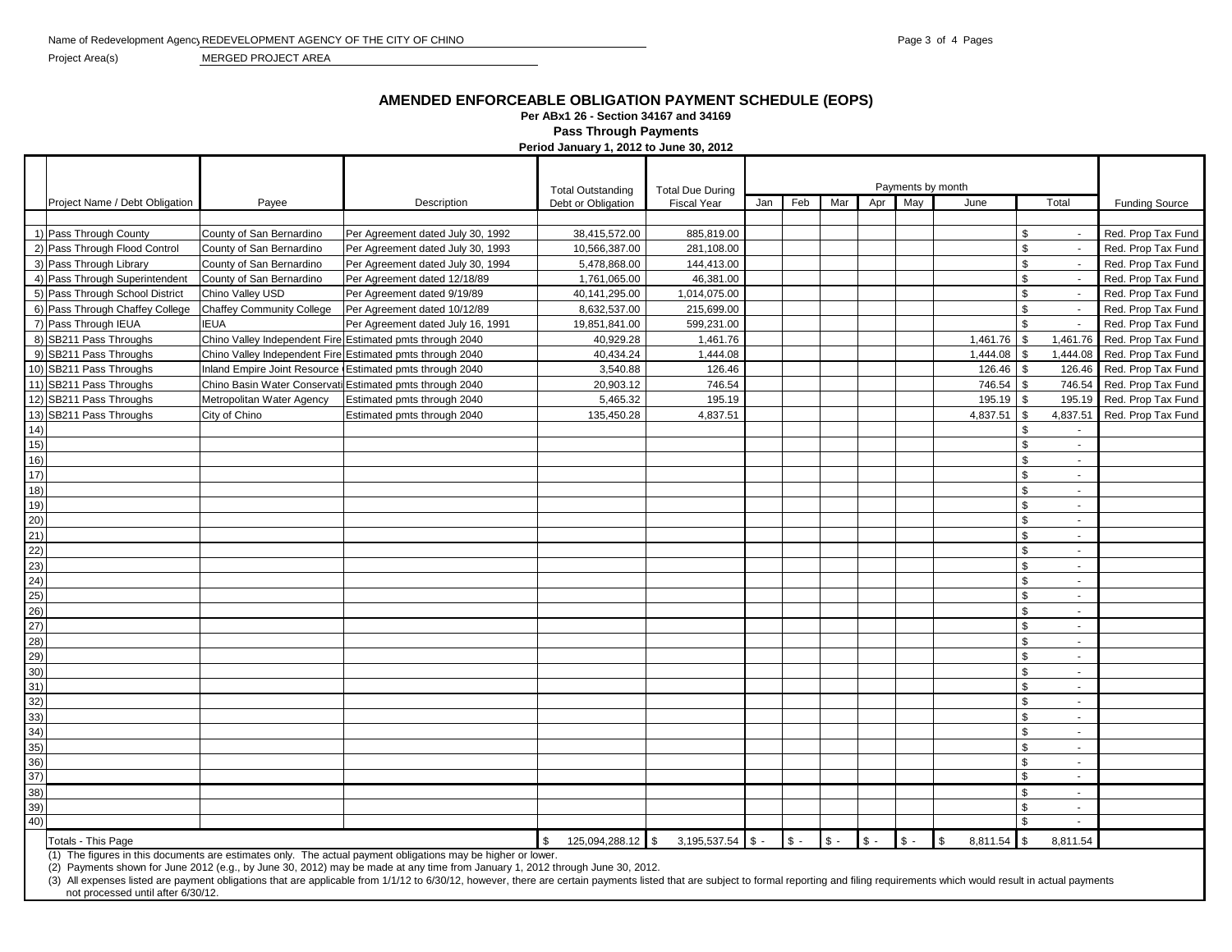Project Area(s) MERGED PROJECT AREA

## **AMENDED ENFORCEABLE OBLIGATION PAYMENT SCHEDULE (EOPS)**

**Per ABx1 26 - Section 34167 and 34169**

**Pass Through Payments**<br> **Pass Through Payments** 

|                 |                                 |                                                           |                                   | Period January 1, 2012 to June 30, 2012 |                         |     |       |       |       |       |                           |                          |                             |
|-----------------|---------------------------------|-----------------------------------------------------------|-----------------------------------|-----------------------------------------|-------------------------|-----|-------|-------|-------|-------|---------------------------|--------------------------|-----------------------------|
|                 |                                 |                                                           |                                   |                                         |                         |     |       |       |       |       |                           |                          |                             |
|                 |                                 |                                                           |                                   | <b>Total Outstanding</b>                | <b>Total Due During</b> |     |       |       |       |       |                           |                          |                             |
|                 | Project Name / Debt Obligation  | Payee                                                     | Description                       | Debt or Obligation                      | <b>Fiscal Year</b>      | Jan | Feb   | Mar   | Apr   | May   | Payments by month<br>June | Total                    | <b>Funding Source</b>       |
|                 |                                 |                                                           |                                   |                                         |                         |     |       |       |       |       |                           |                          |                             |
|                 | 1) Pass Through County          | County of San Bernardino                                  | Per Agreement dated July 30, 1992 | 38,415,572.00                           | 885,819.00              |     |       |       |       |       |                           | S.                       | Red. Prop Tax Fund          |
|                 | 2) Pass Through Flood Control   | County of San Bernardino                                  | Per Agreement dated July 30, 1993 | 10,566,387.00                           | 281,108.00              |     |       |       |       |       |                           | \$<br>$\sim$             | Red. Prop Tax Fund          |
|                 | 3) Pass Through Library         | County of San Bernardino                                  | Per Agreement dated July 30, 1994 | 5,478,868.00                            | 144,413.00              |     |       |       |       |       |                           | <sup>\$</sup>            | Red. Prop Tax Fund          |
|                 | 4) Pass Through Superintendent  | County of San Bernardino                                  | Per Agreement dated 12/18/89      | 1,761,065.00                            | 46,381.00               |     |       |       |       |       |                           | \$                       | Red. Prop Tax Fund          |
|                 | 5) Pass Through School District | Chino Valley USD                                          | Per Agreement dated 9/19/89       | 40,141,295.00                           | 1,014,075.00            |     |       |       |       |       |                           | \$                       | Red. Prop Tax Fund          |
|                 | 6) Pass Through Chaffey College | <b>Chaffey Community College</b>                          | Per Agreement dated 10/12/89      | 8,632,537.00                            | 215,699.00              |     |       |       |       |       |                           | \$<br>$\sim$             | Red. Prop Tax Fund          |
|                 | 7) Pass Through IEUA            | <b>IEUA</b>                                               | Per Agreement dated July 16, 1991 | 19,851,841.00                           | 599,231.00              |     |       |       |       |       |                           | \$<br>$\sim$             | Red. Prop Tax Fund          |
|                 | 8) SB211 Pass Throughs          | Chino Valley Independent Fire Estimated pmts through 2040 |                                   | 40,929.28                               | 1,461.76                |     |       |       |       |       | 1,461.76                  | <sup>\$</sup>            | 1,461.76 Red. Prop Tax Fund |
|                 | 9) SB211 Pass Throughs          | Chino Valley Independent Fire Estimated pmts through 2040 |                                   | 40,434.24                               | 1,444.08                |     |       |       |       |       | 1,444.08                  | 1,444.08                 | Red. Prop Tax Fund          |
|                 | 10) SB211 Pass Throughs         | Inland Empire Joint Resource Estimated pmts through 2040  |                                   | 3,540.88                                | 126.46                  |     |       |       |       |       | 126.46                    | $\mathfrak{s}$           | 126.46 Red. Prop Tax Fund   |
|                 | 11) SB211 Pass Throughs         | Chino Basin Water Conservati Estimated pmts through 2040  |                                   | 20,903.12                               | 746.54                  |     |       |       |       |       | 746.54                    | \$                       | 746.54 Red. Prop Tax Fund   |
|                 | 12) SB211 Pass Throughs         | Metropolitan Water Agency                                 | Estimated pmts through 2040       | 5,465.32                                | 195.19                  |     |       |       |       |       | 195.19                    | \$                       | 195.19 Red. Prop Tax Fund   |
|                 | 13) SB211 Pass Throughs         | City of Chino                                             | Estimated pmts through 2040       | 135,450.28                              | 4,837.51                |     |       |       |       |       | 4,837.51                  | <b>β</b>                 | 4,837.51 Red. Prop Tax Fund |
| 14)             |                                 |                                                           |                                   |                                         |                         |     |       |       |       |       |                           | \$                       |                             |
| 15)             |                                 |                                                           |                                   |                                         |                         |     |       |       |       |       |                           | \$<br>$\sim$             |                             |
| 16)             |                                 |                                                           |                                   |                                         |                         |     |       |       |       |       |                           | $\mathcal{S}$<br>$\sim$  |                             |
| 17)             |                                 |                                                           |                                   |                                         |                         |     |       |       |       |       |                           | <sup>\$</sup><br>$\sim$  |                             |
| 18)             |                                 |                                                           |                                   |                                         |                         |     |       |       |       |       |                           | <sup>\$</sup><br>$\sim$  |                             |
| 19)             |                                 |                                                           |                                   |                                         |                         |     |       |       |       |       |                           | \$<br>$\sim$             |                             |
| 20)             |                                 |                                                           |                                   |                                         |                         |     |       |       |       |       |                           | $\mathbf{s}$<br>$\sim$   |                             |
| 21)             |                                 |                                                           |                                   |                                         |                         |     |       |       |       |       |                           | <sup>\$</sup><br>$\sim$  |                             |
| $\overline{22}$ |                                 |                                                           |                                   |                                         |                         |     |       |       |       |       |                           | \$<br>$\sim$             |                             |
| 23)             |                                 |                                                           |                                   |                                         |                         |     |       |       |       |       |                           | $\mathbf{s}$<br>$\sim$   |                             |
| (24)            |                                 |                                                           |                                   |                                         |                         |     |       |       |       |       |                           | <sup>\$</sup><br>$\sim$  |                             |
| 25)             |                                 |                                                           |                                   |                                         |                         |     |       |       |       |       |                           | $\mathbf{s}$<br>$\sim$   |                             |
| 26)             |                                 |                                                           |                                   |                                         |                         |     |       |       |       |       |                           | <sup>\$</sup><br>$\sim$  |                             |
| 27)             |                                 |                                                           |                                   |                                         |                         |     |       |       |       |       |                           | $\mathbf{s}$<br>$\sim$   |                             |
| 28)             |                                 |                                                           |                                   |                                         |                         |     |       |       |       |       |                           | \$<br>$\sim$             |                             |
| 29)             |                                 |                                                           |                                   |                                         |                         |     |       |       |       |       |                           | $\mathfrak{L}$<br>$\sim$ |                             |
| 30)             |                                 |                                                           |                                   |                                         |                         |     |       |       |       |       |                           | <sup>\$</sup><br>$\sim$  |                             |
| 31)             |                                 |                                                           |                                   |                                         |                         |     |       |       |       |       |                           | $\mathfrak{L}$<br>$\sim$ |                             |
| 32)             |                                 |                                                           |                                   |                                         |                         |     |       |       |       |       |                           | $\mathfrak{L}$<br>$\sim$ |                             |
| 33)             |                                 |                                                           |                                   |                                         |                         |     |       |       |       |       |                           | \$<br>$\sim$             |                             |
| 34)             |                                 |                                                           |                                   |                                         |                         |     |       |       |       |       |                           | $\mathfrak{L}$<br>$\sim$ |                             |
| 35)             |                                 |                                                           |                                   |                                         |                         |     |       |       |       |       |                           | $\mathfrak{L}$<br>$\sim$ |                             |
| 36)             |                                 |                                                           |                                   |                                         |                         |     |       |       |       |       |                           | $\mathfrak{L}$<br>$\sim$ |                             |
| 37)             |                                 |                                                           |                                   |                                         |                         |     |       |       |       |       |                           | $\mathfrak{L}$<br>$\sim$ |                             |
| 38)             |                                 |                                                           |                                   |                                         |                         |     |       |       |       |       |                           | \$<br>$\sim$             |                             |
| 39)             |                                 |                                                           |                                   |                                         |                         |     |       |       |       |       |                           | $\mathfrak{L}$<br>$\sim$ |                             |
| 40)             |                                 |                                                           |                                   |                                         |                         |     |       |       |       |       |                           | $\mathbf{s}$             |                             |
|                 | Totals - This Page              |                                                           |                                   | 125,094,288.12 \$<br>\$                 | $3,195,537.54$ \$ -     |     | $S -$ | $S -$ | $S -$ | $S -$ | <b>S</b><br>$8,811.54$ \$ | 8.811.54                 |                             |

(1) The figures in this documents are estimates only. The actual payment obligations may be higher or lower.

(2) Payments shown for June 2012 (e.g., by June 30, 2012) may be made at any time from January 1, 2012 through June 30, 2012.

(3) All expenses listed are payment obligations that are applicable from 1/1/12 to 6/30/12, however, there are certain payments listed that are subject to formal reporting and filing requirements which would result in actu not processed until after 6/30/12.